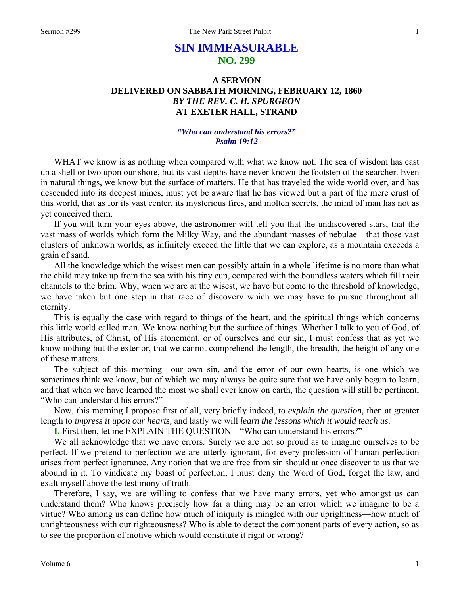# **SIN IMMEASURABLE NO. 299**

## **A SERMON DELIVERED ON SABBATH MORNING, FEBRUARY 12, 1860**  *BY THE REV. C. H. SPURGEON*  **AT EXETER HALL, STRAND**

### *"Who can understand his errors?" Psalm 19:12*

WHAT we know is as nothing when compared with what we know not. The sea of wisdom has cast up a shell or two upon our shore, but its vast depths have never known the footstep of the searcher. Even in natural things, we know but the surface of matters. He that has traveled the wide world over, and has descended into its deepest mines, must yet be aware that he has viewed but a part of the mere crust of this world, that as for its vast center, its mysterious fires, and molten secrets, the mind of man has not as yet conceived them.

If you will turn your eyes above, the astronomer will tell you that the undiscovered stars, that the vast mass of worlds which form the Milky Way, and the abundant masses of nebulae—that those vast clusters of unknown worlds, as infinitely exceed the little that we can explore, as a mountain exceeds a grain of sand.

All the knowledge which the wisest men can possibly attain in a whole lifetime is no more than what the child may take up from the sea with his tiny cup, compared with the boundless waters which fill their channels to the brim. Why, when we are at the wisest, we have but come to the threshold of knowledge, we have taken but one step in that race of discovery which we may have to pursue throughout all eternity.

This is equally the case with regard to things of the heart, and the spiritual things which concerns this little world called man. We know nothing but the surface of things. Whether I talk to you of God, of His attributes, of Christ, of His atonement, or of ourselves and our sin, I must confess that as yet we know nothing but the exterior, that we cannot comprehend the length, the breadth, the height of any one of these matters.

The subject of this morning—our own sin, and the error of our own hearts, is one which we sometimes think we know, but of which we may always be quite sure that we have only begun to learn, and that when we have learned the most we shall ever know on earth, the question will still be pertinent, "Who can understand his errors?"

Now, this morning I propose first of all, very briefly indeed, to *explain the question,* then at greater length to *impress it upon our hearts,* and lastly we will *learn the lessons which it would teach us*.

**I.** First then, let me EXPLAIN THE QUESTION—"Who can understand his errors?"

We all acknowledge that we have errors. Surely we are not so proud as to imagine ourselves to be perfect. If we pretend to perfection we are utterly ignorant, for every profession of human perfection arises from perfect ignorance. Any notion that we are free from sin should at once discover to us that we abound in it. To vindicate my boast of perfection, I must deny the Word of God, forget the law, and exalt myself above the testimony of truth.

Therefore, I say, we are willing to confess that we have many errors, yet who amongst us can understand them? Who knows precisely how far a thing may be an error which we imagine to be a virtue? Who among us can define how much of iniquity is mingled with our uprightness—how much of unrighteousness with our righteousness? Who is able to detect the component parts of every action, so as to see the proportion of motive which would constitute it right or wrong?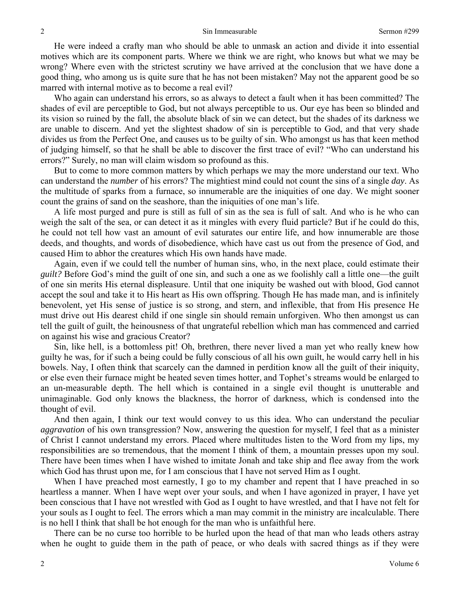He were indeed a crafty man who should be able to unmask an action and divide it into essential motives which are its component parts. Where we think we are right, who knows but what we may be wrong? Where even with the strictest scrutiny we have arrived at the conclusion that we have done a good thing, who among us is quite sure that he has not been mistaken? May not the apparent good be so marred with internal motive as to become a real evil?

Who again can understand his errors, so as always to detect a fault when it has been committed? The shades of evil are perceptible to God, but not always perceptible to us. Our eye has been so blinded and its vision so ruined by the fall, the absolute black of sin we can detect, but the shades of its darkness we are unable to discern. And yet the slightest shadow of sin is perceptible to God, and that very shade divides us from the Perfect One, and causes us to be guilty of sin. Who amongst us has that keen method of judging himself, so that he shall be able to discover the first trace of evil? "Who can understand his errors?" Surely, no man will claim wisdom so profound as this.

But to come to more common matters by which perhaps we may the more understand our text. Who can understand the *number* of his errors? The mightiest mind could not count the sins of a single *day*. As the multitude of sparks from a furnace, so innumerable are the iniquities of one day. We might sooner count the grains of sand on the seashore, than the iniquities of one man's life.

A life most purged and pure is still as full of sin as the sea is full of salt. And who is he who can weigh the salt of the sea, or can detect it as it mingles with every fluid particle? But if he could do this, he could not tell how vast an amount of evil saturates our entire life, and how innumerable are those deeds, and thoughts, and words of disobedience, which have cast us out from the presence of God, and caused Him to abhor the creatures which His own hands have made.

Again, even if we could tell the number of human sins, who, in the next place, could estimate their *guilt?* Before God's mind the guilt of one sin, and such a one as we foolishly call a little one—the guilt of one sin merits His eternal displeasure. Until that one iniquity be washed out with blood, God cannot accept the soul and take it to His heart as His own offspring. Though He has made man, and is infinitely benevolent, yet His sense of justice is so strong, and stern, and inflexible, that from His presence He must drive out His dearest child if one single sin should remain unforgiven. Who then amongst us can tell the guilt of guilt, the heinousness of that ungrateful rebellion which man has commenced and carried on against his wise and gracious Creator?

Sin, like hell, is a bottomless pit! Oh, brethren, there never lived a man yet who really knew how guilty he was, for if such a being could be fully conscious of all his own guilt, he would carry hell in his bowels. Nay, I often think that scarcely can the damned in perdition know all the guilt of their iniquity, or else even their furnace might be heated seven times hotter, and Tophet's streams would be enlarged to an un-measurable depth. The hell which is contained in a single evil thought is unutterable and unimaginable. God only knows the blackness, the horror of darkness, which is condensed into the thought of evil.

And then again, I think our text would convey to us this idea. Who can understand the peculiar *aggravation* of his own transgression? Now, answering the question for myself, I feel that as a minister of Christ I cannot understand my errors. Placed where multitudes listen to the Word from my lips, my responsibilities are so tremendous, that the moment I think of them, a mountain presses upon my soul. There have been times when I have wished to imitate Jonah and take ship and flee away from the work which God has thrust upon me, for I am conscious that I have not served Him as I ought.

When I have preached most earnestly, I go to my chamber and repent that I have preached in so heartless a manner. When I have wept over your souls, and when I have agonized in prayer, I have yet been conscious that I have not wrestled with God as I ought to have wrestled, and that I have not felt for your souls as I ought to feel. The errors which a man may commit in the ministry are incalculable. There is no hell I think that shall be hot enough for the man who is unfaithful here.

There can be no curse too horrible to be hurled upon the head of that man who leads others astray when he ought to guide them in the path of peace, or who deals with sacred things as if they were

2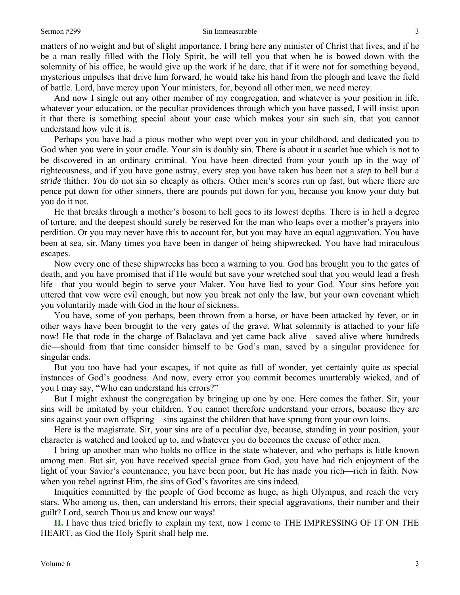#### Sermon #299 Sin Immeasurable

matters of no weight and but of slight importance. I bring here any minister of Christ that lives, and if he be a man really filled with the Holy Spirit, he will tell you that when he is bowed down with the solemnity of his office, he would give up the work if he dare, that if it were not for something beyond, mysterious impulses that drive him forward, he would take his hand from the plough and leave the field of battle. Lord, have mercy upon Your ministers, for, beyond all other men, we need mercy.

And now I single out any other member of my congregation, and whatever is your position in life, whatever your education, or the peculiar providences through which you have passed, I will insist upon it that there is something special about your case which makes your sin such sin, that you cannot understand how vile it is.

Perhaps you have had a pious mother who wept over you in your childhood, and dedicated you to God when you were in your cradle. Your sin is doubly sin. There is about it a scarlet hue which is not to be discovered in an ordinary criminal. You have been directed from your youth up in the way of righteousness, and if you have gone astray, every step you have taken has been not a *step* to hell but a *stride* thither. *You* do not sin so cheaply as others. Other men's scores run up fast, but where there are pence put down for other sinners, there are pounds put down for you, because you know your duty but you do it not.

He that breaks through a mother's bosom to hell goes to its lowest depths. There is in hell a degree of torture, and the deepest should surely be reserved for the man who leaps over a mother's prayers into perdition. Or you may never have this to account for, but you may have an equal aggravation. You have been at sea, sir. Many times you have been in danger of being shipwrecked. You have had miraculous escapes.

Now every one of these shipwrecks has been a warning to you. God has brought you to the gates of death, and you have promised that if He would but save your wretched soul that you would lead a fresh life—that you would begin to serve your Maker. You have lied to your God. Your sins before you uttered that vow were evil enough, but now you break not only the law, but your own covenant which you voluntarily made with God in the hour of sickness.

You have, some of you perhaps, been thrown from a horse, or have been attacked by fever, or in other ways have been brought to the very gates of the grave. What solemnity is attached to your life now! He that rode in the charge of Balaclava and yet came back alive—saved alive where hundreds die—should from that time consider himself to be God's man, saved by a singular providence for singular ends.

But you too have had your escapes, if not quite as full of wonder, yet certainly quite as special instances of God's goodness. And now, every error you commit becomes unutterably wicked, and of you I may say, "Who can understand his errors?"

But I might exhaust the congregation by bringing up one by one. Here comes the father. Sir, your sins will be imitated by your children. You cannot therefore understand your errors, because they are sins against your own offspring—sins against the children that have sprung from your own loins.

Here is the magistrate. Sir, your sins are of a peculiar dye, because, standing in your position, your character is watched and looked up to, and whatever you do becomes the excuse of other men.

I bring up another man who holds no office in the state whatever, and who perhaps is little known among men. But sir, you have received special grace from God, you have had rich enjoyment of the light of your Savior's countenance, you have been poor, but He has made you rich—rich in faith. Now when you rebel against Him, the sins of God's favorites are sins indeed.

Iniquities committed by the people of God become as huge, as high Olympus, and reach the very stars. Who among us, then, can understand his errors, their special aggravations, their number and their guilt? Lord, search Thou us and know our ways!

**II.** I have thus tried briefly to explain my text, now I come to THE IMPRESSING OF IT ON THE HEART, as God the Holy Spirit shall help me.

3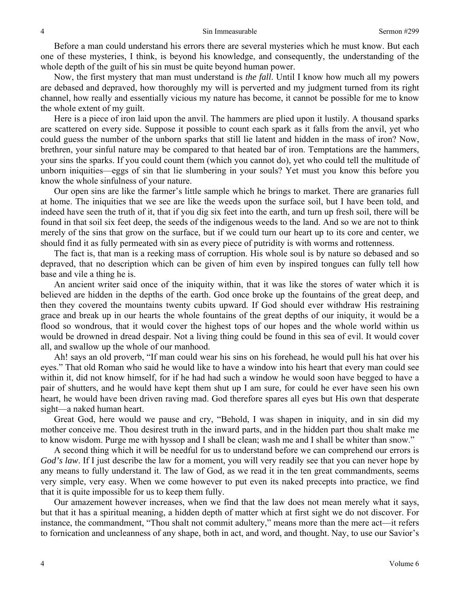Before a man could understand his errors there are several mysteries which he must know. But each one of these mysteries, I think, is beyond his knowledge, and consequently, the understanding of the whole depth of the guilt of his sin must be quite beyond human power.

Now, the first mystery that man must understand is *the fall*. Until I know how much all my powers are debased and depraved, how thoroughly my will is perverted and my judgment turned from its right channel, how really and essentially vicious my nature has become, it cannot be possible for me to know the whole extent of my guilt.

Here is a piece of iron laid upon the anvil. The hammers are plied upon it lustily. A thousand sparks are scattered on every side. Suppose it possible to count each spark as it falls from the anvil, yet who could guess the number of the unborn sparks that still lie latent and hidden in the mass of iron? Now, brethren, your sinful nature may be compared to that heated bar of iron. Temptations are the hammers, your sins the sparks. If you could count them (which you cannot do), yet who could tell the multitude of unborn iniquities—eggs of sin that lie slumbering in your souls? Yet must you know this before you know the whole sinfulness of your nature.

Our open sins are like the farmer's little sample which he brings to market. There are granaries full at home. The iniquities that we see are like the weeds upon the surface soil, but I have been told, and indeed have seen the truth of it, that if you dig six feet into the earth, and turn up fresh soil, there will be found in that soil six feet deep, the seeds of the indigenous weeds to the land. And so we are not to think merely of the sins that grow on the surface, but if we could turn our heart up to its core and center, we should find it as fully permeated with sin as every piece of putridity is with worms and rottenness.

The fact is, that man is a reeking mass of corruption. His whole soul is by nature so debased and so depraved, that no description which can be given of him even by inspired tongues can fully tell how base and vile a thing he is.

An ancient writer said once of the iniquity within, that it was like the stores of water which it is believed are hidden in the depths of the earth. God once broke up the fountains of the great deep, and then they covered the mountains twenty cubits upward. If God should ever withdraw His restraining grace and break up in our hearts the whole fountains of the great depths of our iniquity, it would be a flood so wondrous, that it would cover the highest tops of our hopes and the whole world within us would be drowned in dread despair. Not a living thing could be found in this sea of evil. It would cover all, and swallow up the whole of our manhood.

Ah! says an old proverb, "If man could wear his sins on his forehead, he would pull his hat over his eyes." That old Roman who said he would like to have a window into his heart that every man could see within it, did not know himself, for if he had had such a window he would soon have begged to have a pair of shutters, and he would have kept them shut up I am sure, for could he ever have seen his own heart, he would have been driven raving mad. God therefore spares all eyes but His own that desperate sight—a naked human heart.

Great God, here would we pause and cry, "Behold, I was shapen in iniquity, and in sin did my mother conceive me. Thou desirest truth in the inward parts, and in the hidden part thou shalt make me to know wisdom. Purge me with hyssop and I shall be clean; wash me and I shall be whiter than snow."

A second thing which it will be needful for us to understand before we can comprehend our errors is *God's law*. If I just describe the law for a moment, you will very readily see that you can never hope by any means to fully understand it. The law of God, as we read it in the ten great commandments, seems very simple, very easy. When we come however to put even its naked precepts into practice, we find that it is quite impossible for us to keep them fully.

Our amazement however increases, when we find that the law does not mean merely what it says, but that it has a spiritual meaning, a hidden depth of matter which at first sight we do not discover. For instance, the commandment, "Thou shalt not commit adultery," means more than the mere act—it refers to fornication and uncleanness of any shape, both in act, and word, and thought. Nay, to use our Savior's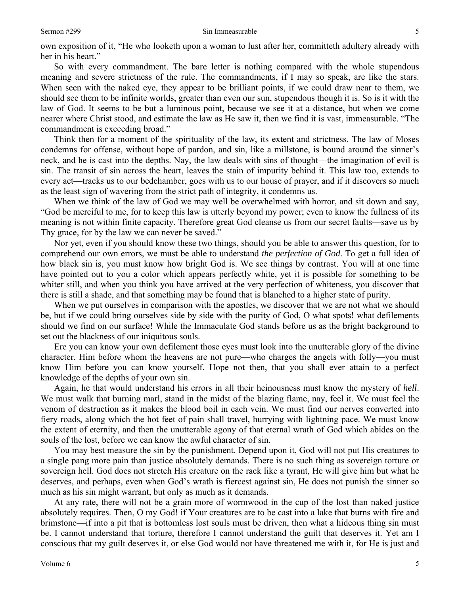own exposition of it, "He who looketh upon a woman to lust after her, committeth adultery already with her in his heart."

So with every commandment. The bare letter is nothing compared with the whole stupendous meaning and severe strictness of the rule. The commandments, if I may so speak, are like the stars. When seen with the naked eye, they appear to be brilliant points, if we could draw near to them, we should see them to be infinite worlds, greater than even our sun, stupendous though it is. So is it with the law of God. It seems to be but a luminous point, because we see it at a distance, but when we come nearer where Christ stood, and estimate the law as He saw it, then we find it is vast, immeasurable. "The commandment is exceeding broad."

Think then for a moment of the spirituality of the law, its extent and strictness. The law of Moses condemns for offense, without hope of pardon, and sin, like a millstone, is bound around the sinner's neck, and he is cast into the depths. Nay, the law deals with sins of thought—the imagination of evil is sin. The transit of sin across the heart, leaves the stain of impurity behind it. This law too, extends to every act—tracks us to our bedchamber, goes with us to our house of prayer, and if it discovers so much as the least sign of wavering from the strict path of integrity, it condemns us.

When we think of the law of God we may well be overwhelmed with horror, and sit down and say, "God be merciful to me, for to keep this law is utterly beyond my power; even to know the fullness of its meaning is not within finite capacity. Therefore great God cleanse us from our secret faults—save us by Thy grace, for by the law we can never be saved."

Nor yet, even if you should know these two things, should you be able to answer this question, for to comprehend our own errors, we must be able to understand *the perfection of God*. To get a full idea of how black sin is, you must know how bright God is. We see things by contrast. You will at one time have pointed out to you a color which appears perfectly white, yet it is possible for something to be whiter still, and when you think you have arrived at the very perfection of whiteness, you discover that there is still a shade, and that something may be found that is blanched to a higher state of purity.

When we put ourselves in comparison with the apostles, we discover that we are not what we should be, but if we could bring ourselves side by side with the purity of God, O what spots! what defilements should we find on our surface! While the Immaculate God stands before us as the bright background to set out the blackness of our iniquitous souls.

Ere you can know your own defilement those eyes must look into the unutterable glory of the divine character. Him before whom the heavens are not pure—who charges the angels with folly—you must know Him before you can know yourself. Hope not then, that you shall ever attain to a perfect knowledge of the depths of your own sin.

Again, he that would understand his errors in all their heinousness must know the mystery of *hell*. We must walk that burning marl, stand in the midst of the blazing flame, nay, feel it. We must feel the venom of destruction as it makes the blood boil in each vein. We must find our nerves converted into fiery roads, along which the hot feet of pain shall travel, hurrying with lightning pace. We must know the extent of eternity, and then the unutterable agony of that eternal wrath of God which abides on the souls of the lost, before we can know the awful character of sin.

You may best measure the sin by the punishment. Depend upon it, God will not put His creatures to a single pang more pain than justice absolutely demands. There is no such thing as sovereign torture or sovereign hell. God does not stretch His creature on the rack like a tyrant, He will give him but what he deserves, and perhaps, even when God's wrath is fiercest against sin, He does not punish the sinner so much as his sin might warrant, but only as much as it demands.

At any rate, there will not be a grain more of wormwood in the cup of the lost than naked justice absolutely requires. Then, O my God! if Your creatures are to be cast into a lake that burns with fire and brimstone—if into a pit that is bottomless lost souls must be driven, then what a hideous thing sin must be. I cannot understand that torture, therefore I cannot understand the guilt that deserves it. Yet am I conscious that my guilt deserves it, or else God would not have threatened me with it, for He is just and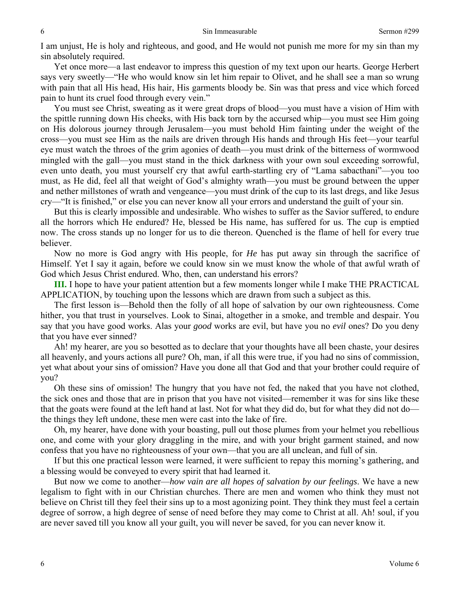I am unjust, He is holy and righteous, and good, and He would not punish me more for my sin than my sin absolutely required.

Yet once more—a last endeavor to impress this question of my text upon our hearts. George Herbert says very sweetly—"He who would know sin let him repair to Olivet, and he shall see a man so wrung with pain that all His head, His hair, His garments bloody be. Sin was that press and vice which forced pain to hunt its cruel food through every vein."

You must see Christ, sweating as it were great drops of blood—you must have a vision of Him with the spittle running down His cheeks, with His back torn by the accursed whip—you must see Him going on His dolorous journey through Jerusalem—you must behold Him fainting under the weight of the cross—you must see Him as the nails are driven through His hands and through His feet—your tearful eye must watch the throes of the grim agonies of death—you must drink of the bitterness of wormwood mingled with the gall—you must stand in the thick darkness with your own soul exceeding sorrowful, even unto death, you must yourself cry that awful earth-startling cry of "Lama sabacthani"—you too must, as He did, feel all that weight of God's almighty wrath—you must be ground between the upper and nether millstones of wrath and vengeance—you must drink of the cup to its last dregs, and like Jesus cry—"It is finished," or else you can never know all your errors and understand the guilt of your sin.

But this is clearly impossible and undesirable. Who wishes to suffer as the Savior suffered, to endure all the horrors which He endured? He, blessed be His name, has suffered for us. The cup is emptied now. The cross stands up no longer for us to die thereon. Quenched is the flame of hell for every true believer.

Now no more is God angry with His people, for *He* has put away sin through the sacrifice of Himself. Yet I say it again, before we could know sin we must know the whole of that awful wrath of God which Jesus Christ endured. Who, then, can understand his errors?

**III.** I hope to have your patient attention but a few moments longer while I make THE PRACTICAL APPLICATION, by touching upon the lessons which are drawn from such a subject as this.

The first lesson is—Behold then the folly of all hope of salvation by our own righteousness. Come hither, you that trust in yourselves. Look to Sinai, altogether in a smoke, and tremble and despair. You say that you have good works. Alas your *good* works are evil, but have you no *evil* ones? Do you deny that you have ever sinned?

Ah! my hearer, are you so besotted as to declare that your thoughts have all been chaste, your desires all heavenly, and yours actions all pure? Oh, man, if all this were true, if you had no sins of commission, yet what about your sins of omission? Have you done all that God and that your brother could require of you?

Oh these sins of omission! The hungry that you have not fed, the naked that you have not clothed, the sick ones and those that are in prison that you have not visited—remember it was for sins like these that the goats were found at the left hand at last. Not for what they did do, but for what they did not do the things they left undone, these men were cast into the lake of fire.

Oh, my hearer, have done with your boasting, pull out those plumes from your helmet you rebellious one, and come with your glory draggling in the mire, and with your bright garment stained, and now confess that you have no righteousness of your own—that you are all unclean, and full of sin.

If but this one practical lesson were learned, it were sufficient to repay this morning's gathering, and a blessing would be conveyed to every spirit that had learned it.

But now we come to another—*how vain are all hopes of salvation by our feelings*. We have a new legalism to fight with in our Christian churches. There are men and women who think they must not believe on Christ till they feel their sins up to a most agonizing point. They think they must feel a certain degree of sorrow, a high degree of sense of need before they may come to Christ at all. Ah! soul, if you are never saved till you know all your guilt, you will never be saved, for you can never know it.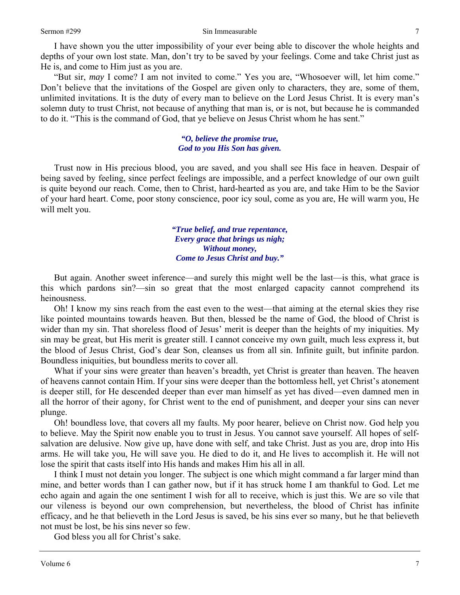I have shown you the utter impossibility of your ever being able to discover the whole heights and depths of your own lost state. Man, don't try to be saved by your feelings. Come and take Christ just as He is, and come to Him just as you are.

"But sir, *may* I come? I am not invited to come." Yes you are, "Whosoever will, let him come." Don't believe that the invitations of the Gospel are given only to characters, they are, some of them, unlimited invitations. It is the duty of every man to believe on the Lord Jesus Christ. It is every man's solemn duty to trust Christ, not because of anything that man is, or is not, but because he is commanded to do it. "This is the command of God, that ye believe on Jesus Christ whom he has sent."

### *"O, believe the promise true, God to you His Son has given.*

Trust now in His precious blood, you are saved, and you shall see His face in heaven. Despair of being saved by feeling, since perfect feelings are impossible, and a perfect knowledge of our own guilt is quite beyond our reach. Come, then to Christ, hard-hearted as you are, and take Him to be the Savior of your hard heart. Come, poor stony conscience, poor icy soul, come as you are, He will warm you, He will melt you.

> *"True belief, and true repentance, Every grace that brings us nigh; Without money, Come to Jesus Christ and buy."*

But again. Another sweet inference—and surely this might well be the last—is this, what grace is this which pardons sin?—sin so great that the most enlarged capacity cannot comprehend its heinousness.

Oh! I know my sins reach from the east even to the west—that aiming at the eternal skies they rise like pointed mountains towards heaven. But then, blessed be the name of God, the blood of Christ is wider than my sin. That shoreless flood of Jesus' merit is deeper than the heights of my iniquities. My sin may be great, but His merit is greater still. I cannot conceive my own guilt, much less express it, but the blood of Jesus Christ, God's dear Son, cleanses us from all sin. Infinite guilt, but infinite pardon. Boundless iniquities, but boundless merits to cover all.

What if your sins were greater than heaven's breadth, yet Christ is greater than heaven. The heaven of heavens cannot contain Him. If your sins were deeper than the bottomless hell, yet Christ's atonement is deeper still, for He descended deeper than ever man himself as yet has dived—even damned men in all the horror of their agony, for Christ went to the end of punishment, and deeper your sins can never plunge.

Oh! boundless love, that covers all my faults. My poor hearer, believe on Christ now. God help you to believe. May the Spirit now enable you to trust in Jesus. You cannot save yourself. All hopes of selfsalvation are delusive. Now give up, have done with self, and take Christ. Just as you are, drop into His arms. He will take you, He will save you. He died to do it, and He lives to accomplish it. He will not lose the spirit that casts itself into His hands and makes Him his all in all.

I think I must not detain you longer. The subject is one which might command a far larger mind than mine, and better words than I can gather now, but if it has struck home I am thankful to God. Let me echo again and again the one sentiment I wish for all to receive, which is just this. We are so vile that our vileness is beyond our own comprehension, but nevertheless, the blood of Christ has infinite efficacy, and he that believeth in the Lord Jesus is saved, be his sins ever so many, but he that believeth not must be lost, be his sins never so few.

God bless you all for Christ's sake.